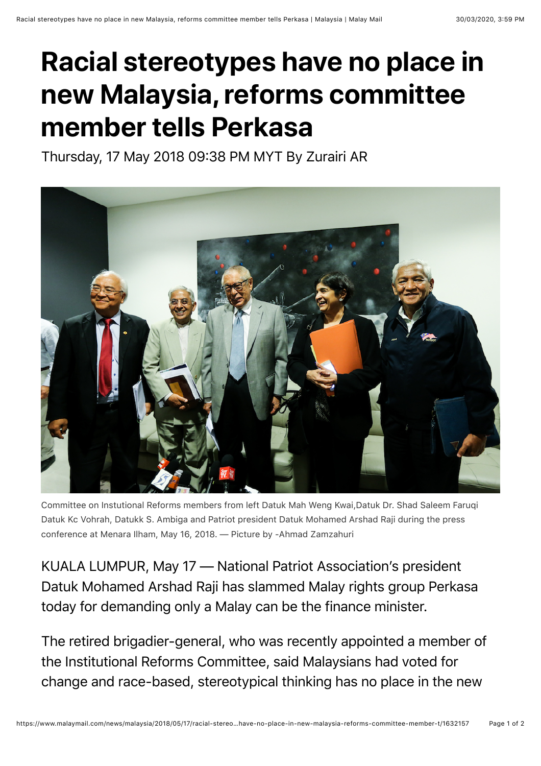## **Racial stereotypes have no place in new Malaysia, reforms committee member tells Perkasa**

Thursday, 17 May 2018 09:38 PM MYT By Zurairi AR



Committee on Instutional Reforms members from left Datuk Mah Weng Kwai,Datuk Dr. Shad Saleem Faruqi Datuk Kc Vohrah, Datukk S. Ambiga and Patriot president Datuk Mohamed Arshad Raji during the press conference at Menara Ilham, May 16, 2018. — Picture by -Ahmad Zamzahuri

KUALA LUMPUR, May 17 — National Patriot Association's president Datuk Mohamed Arshad Raji has slammed Malay rights group Perkasa today for demanding only a Malay can be the finance minister.

The retired brigadier-general, who was recently appointed a member of the Institutional Reforms Committee, said Malaysians had voted for change and race-based, stereotypical thinking has no place in the new